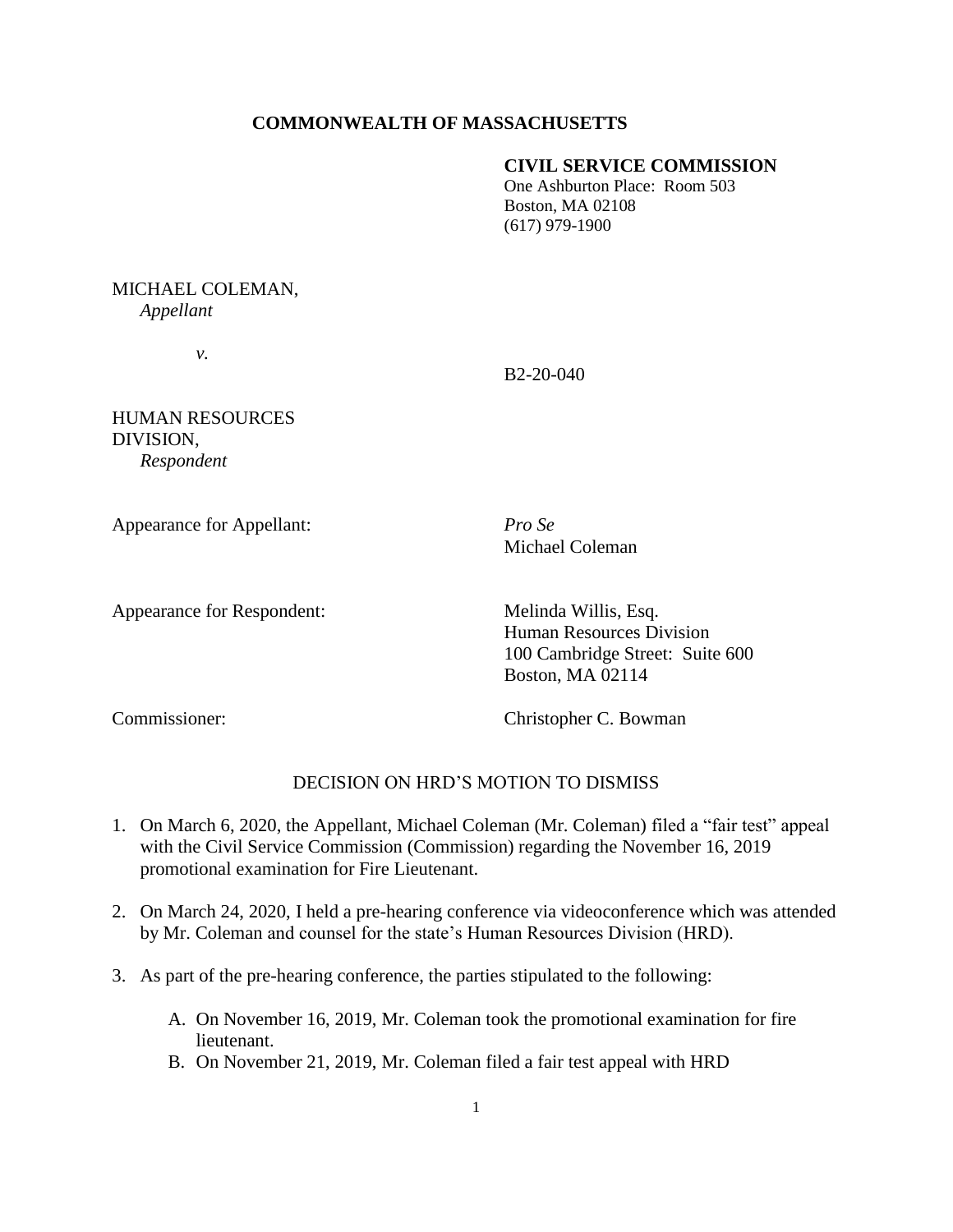## **COMMONWEALTH OF MASSACHUSETTS**

## **CIVIL SERVICE COMMISSION**

One Ashburton Place: Room 503 Boston, MA 02108 (617) 979-1900

# MICHAEL COLEMAN, *Appellant*

*v.*

B2-20-040

HUMAN RESOURCES DIVISION, *Respondent* 

Appearance for Appellant: *Pro Se*

Michael Coleman

Appearance for Respondent: Melinda Willis, Esq.

Human Resources Division 100 Cambridge Street: Suite 600 Boston, MA 02114

Commissioner: Christopher C. Bowman

# DECISION ON HRD'S MOTION TO DISMISS

- 1. On March 6, 2020, the Appellant, Michael Coleman (Mr. Coleman) filed a "fair test" appeal with the Civil Service Commission (Commission) regarding the November 16, 2019 promotional examination for Fire Lieutenant.
- 2. On March 24, 2020, I held a pre-hearing conference via videoconference which was attended by Mr. Coleman and counsel for the state's Human Resources Division (HRD).
- 3. As part of the pre-hearing conference, the parties stipulated to the following:
	- A. On November 16, 2019, Mr. Coleman took the promotional examination for fire lieutenant.
	- B. On November 21, 2019, Mr. Coleman filed a fair test appeal with HRD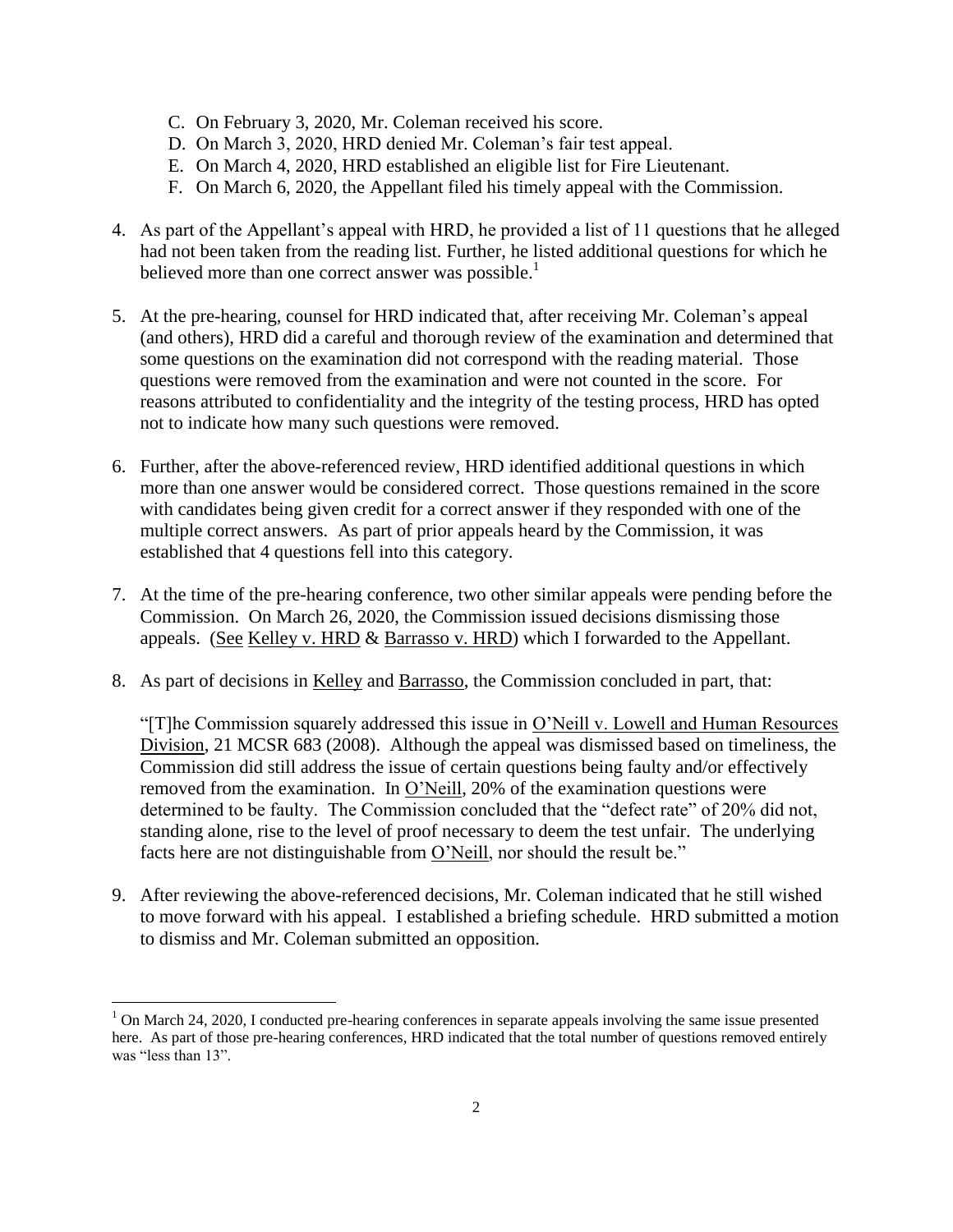- C. On February 3, 2020, Mr. Coleman received his score.
- D. On March 3, 2020, HRD denied Mr. Coleman's fair test appeal.
- E. On March 4, 2020, HRD established an eligible list for Fire Lieutenant.
- F. On March 6, 2020, the Appellant filed his timely appeal with the Commission.
- 4. As part of the Appellant's appeal with HRD, he provided a list of 11 questions that he alleged had not been taken from the reading list. Further, he listed additional questions for which he believed more than one correct answer was possible.<sup>1</sup>
- 5. At the pre-hearing, counsel for HRD indicated that, after receiving Mr. Coleman's appeal (and others), HRD did a careful and thorough review of the examination and determined that some questions on the examination did not correspond with the reading material. Those questions were removed from the examination and were not counted in the score. For reasons attributed to confidentiality and the integrity of the testing process, HRD has opted not to indicate how many such questions were removed.
- 6. Further, after the above-referenced review, HRD identified additional questions in which more than one answer would be considered correct. Those questions remained in the score with candidates being given credit for a correct answer if they responded with one of the multiple correct answers. As part of prior appeals heard by the Commission, it was established that 4 questions fell into this category.
- 7. At the time of the pre-hearing conference, two other similar appeals were pending before the Commission. On March 26, 2020, the Commission issued decisions dismissing those appeals. (See Kelley v. HRD & Barrasso v. HRD) which I forwarded to the Appellant.
- 8. As part of decisions in Kelley and Barrasso, the Commission concluded in part, that:

"[T]he Commission squarely addressed this issue in O'Neill v. Lowell and Human Resources Division, 21 MCSR 683 (2008). Although the appeal was dismissed based on timeliness, the Commission did still address the issue of certain questions being faulty and/or effectively removed from the examination. In O'Neill, 20% of the examination questions were determined to be faulty. The Commission concluded that the "defect rate" of 20% did not, standing alone, rise to the level of proof necessary to deem the test unfair. The underlying facts here are not distinguishable from O'Neill, nor should the result be."

9. After reviewing the above-referenced decisions, Mr. Coleman indicated that he still wished to move forward with his appeal. I established a briefing schedule. HRD submitted a motion to dismiss and Mr. Coleman submitted an opposition.

 $\overline{a}$ 

<sup>&</sup>lt;sup>1</sup> On March 24, 2020, I conducted pre-hearing conferences in separate appeals involving the same issue presented here. As part of those pre-hearing conferences, HRD indicated that the total number of questions removed entirely was "less than 13".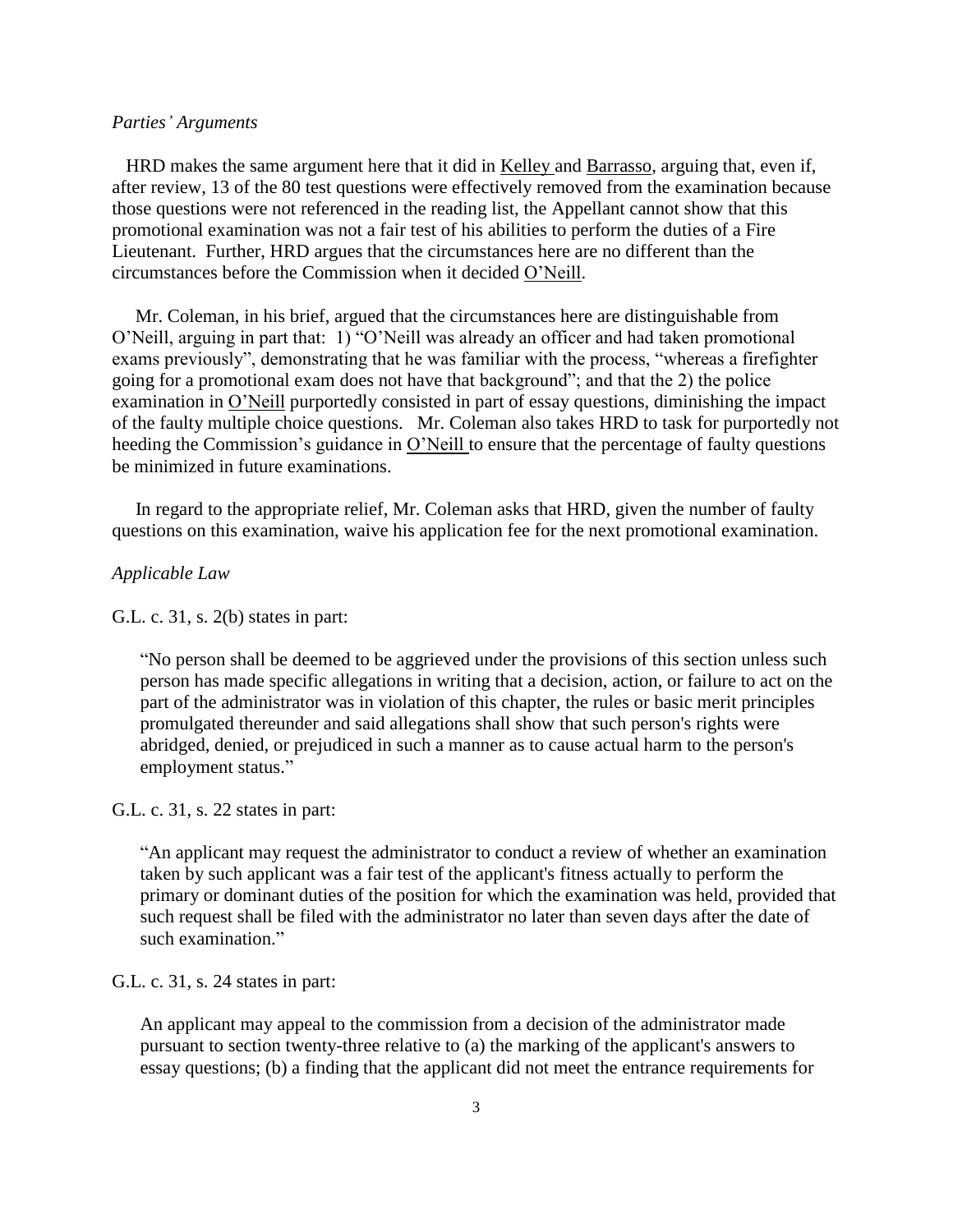#### *Parties' Arguments*

 HRD makes the same argument here that it did in Kelley and Barrasso, arguing that, even if, after review, 13 of the 80 test questions were effectively removed from the examination because those questions were not referenced in the reading list, the Appellant cannot show that this promotional examination was not a fair test of his abilities to perform the duties of a Fire Lieutenant. Further, HRD argues that the circumstances here are no different than the circumstances before the Commission when it decided O'Neill.

 Mr. Coleman, in his brief, argued that the circumstances here are distinguishable from O'Neill, arguing in part that: 1) "O'Neill was already an officer and had taken promotional exams previously", demonstrating that he was familiar with the process, "whereas a firefighter going for a promotional exam does not have that background"; and that the 2) the police examination in O'Neill purportedly consisted in part of essay questions, diminishing the impact of the faulty multiple choice questions. Mr. Coleman also takes HRD to task for purportedly not heeding the Commission's guidance in O'Neill to ensure that the percentage of faulty questions be minimized in future examinations.

 In regard to the appropriate relief, Mr. Coleman asks that HRD, given the number of faulty questions on this examination, waive his application fee for the next promotional examination.

## *Applicable Law*

G.L. c. 31, s. 2(b) states in part:

"No person shall be deemed to be aggrieved under the provisions of this section unless such person has made specific allegations in writing that a decision, action, or failure to act on the part of the administrator was in violation of this chapter, the rules or basic merit principles promulgated thereunder and said allegations shall show that such person's rights were abridged, denied, or prejudiced in such a manner as to cause actual harm to the person's employment status."

#### G.L. c. 31, s. 22 states in part:

"An applicant may request the administrator to conduct a review of whether an examination taken by such applicant was a fair test of the applicant's fitness actually to perform the primary or dominant duties of the position for which the examination was held, provided that such request shall be filed with the administrator no later than seven days after the date of such examination."

G.L. c. 31, s. 24 states in part:

An applicant may appeal to the commission from a decision of the administrator made pursuant to section twenty-three relative to (a) the marking of the applicant's answers to essay questions; (b) a finding that the applicant did not meet the entrance requirements for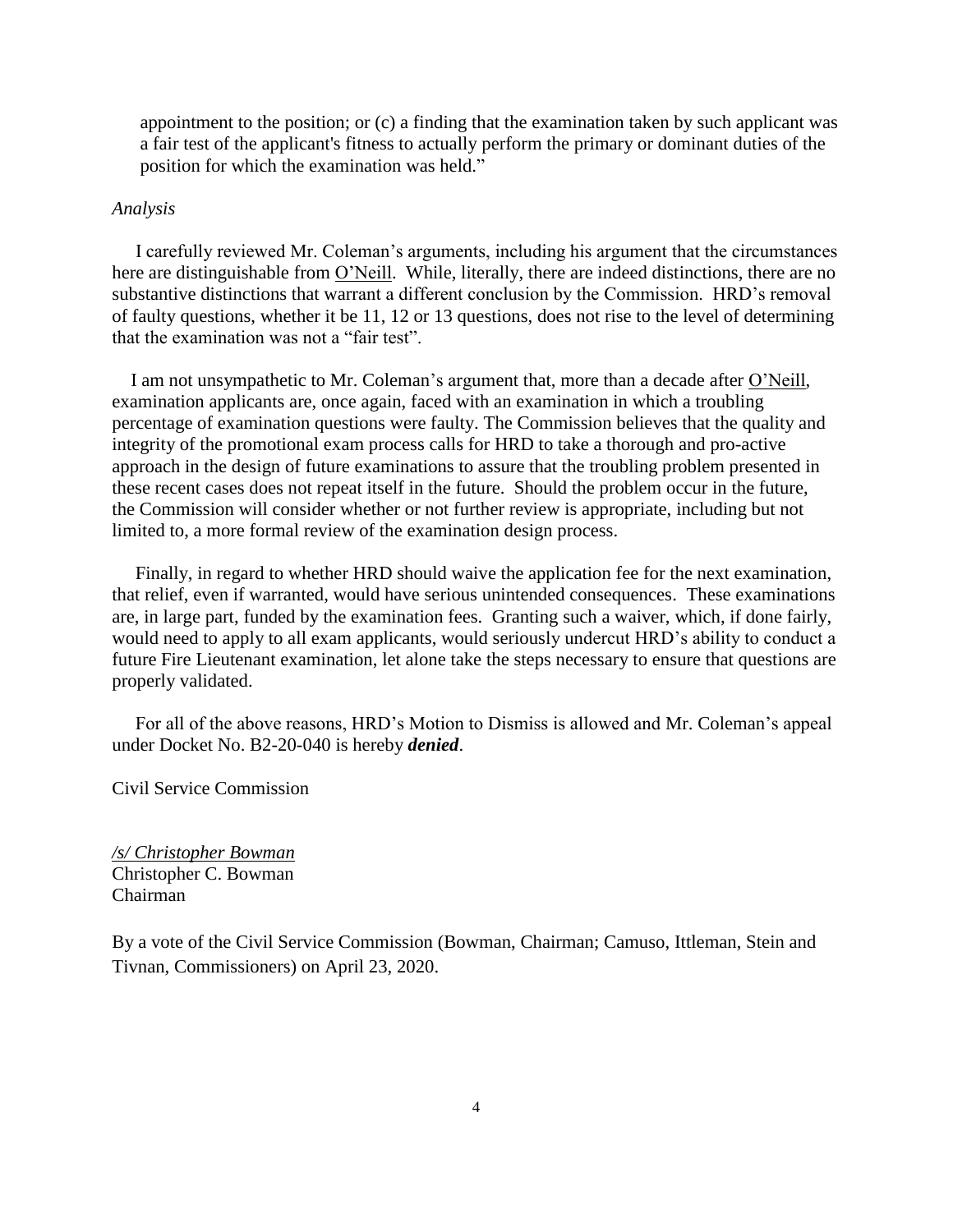appointment to the position; or (c) a finding that the examination taken by such applicant was a fair test of the applicant's fitness to actually perform the primary or dominant duties of the position for which the examination was held."

#### *Analysis*

 I carefully reviewed Mr. Coleman's arguments, including his argument that the circumstances here are distinguishable from O'Neill. While, literally, there are indeed distinctions, there are no substantive distinctions that warrant a different conclusion by the Commission. HRD's removal of faulty questions, whether it be 11, 12 or 13 questions, does not rise to the level of determining that the examination was not a "fair test".

 I am not unsympathetic to Mr. Coleman's argument that, more than a decade after O'Neill, examination applicants are, once again, faced with an examination in which a troubling percentage of examination questions were faulty. The Commission believes that the quality and integrity of the promotional exam process calls for HRD to take a thorough and pro-active approach in the design of future examinations to assure that the troubling problem presented in these recent cases does not repeat itself in the future. Should the problem occur in the future, the Commission will consider whether or not further review is appropriate, including but not limited to, a more formal review of the examination design process.

 Finally, in regard to whether HRD should waive the application fee for the next examination, that relief, even if warranted, would have serious unintended consequences. These examinations are, in large part, funded by the examination fees. Granting such a waiver, which, if done fairly, would need to apply to all exam applicants, would seriously undercut HRD's ability to conduct a future Fire Lieutenant examination, let alone take the steps necessary to ensure that questions are properly validated.

 For all of the above reasons, HRD's Motion to Dismiss is allowed and Mr. Coleman's appeal under Docket No. B2-20-040 is hereby *denied*.

Civil Service Commission

*/s/ Christopher Bowman* Christopher C. Bowman Chairman

By a vote of the Civil Service Commission (Bowman, Chairman; Camuso, Ittleman, Stein and Tivnan, Commissioners) on April 23, 2020.